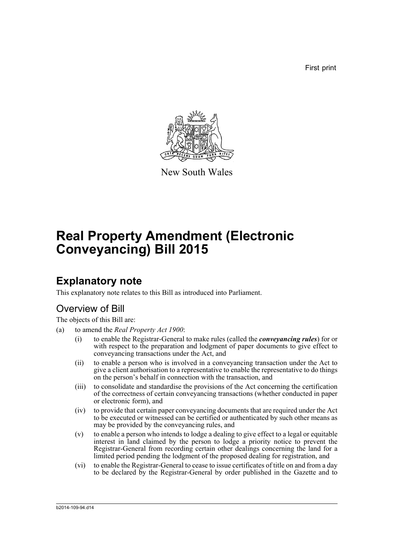First print



New South Wales

# **Real Property Amendment (Electronic Conveyancing) Bill 2015**

# **Explanatory note**

This explanatory note relates to this Bill as introduced into Parliament.

# Overview of Bill

The objects of this Bill are:

- (a) to amend the *Real Property Act 1900*:
	- (i) to enable the Registrar-General to make rules (called the *conveyancing rules*) for or with respect to the preparation and lodgment of paper documents to give effect to conveyancing transactions under the Act, and
	- (ii) to enable a person who is involved in a conveyancing transaction under the Act to give a client authorisation to a representative to enable the representative to do things on the person's behalf in connection with the transaction, and
	- (iii) to consolidate and standardise the provisions of the Act concerning the certification of the correctness of certain conveyancing transactions (whether conducted in paper or electronic form), and
	- (iv) to provide that certain paper conveyancing documents that are required under the Act to be executed or witnessed can be certified or authenticated by such other means as may be provided by the conveyancing rules, and
	- (v) to enable a person who intends to lodge a dealing to give effect to a legal or equitable interest in land claimed by the person to lodge a priority notice to prevent the Registrar-General from recording certain other dealings concerning the land for a limited period pending the lodgment of the proposed dealing for registration, and
	- (vi) to enable the Registrar-General to cease to issue certificates of title on and from a day to be declared by the Registrar-General by order published in the Gazette and to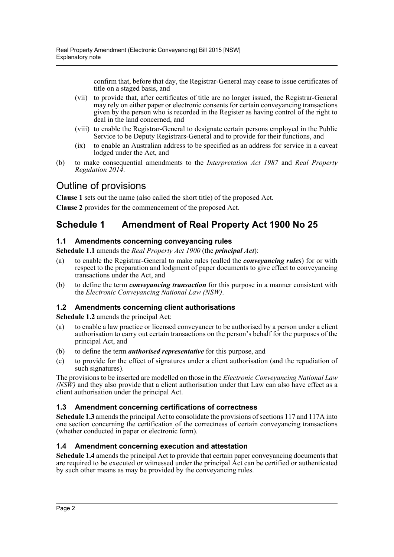confirm that, before that day, the Registrar-General may cease to issue certificates of title on a staged basis, and

- (vii) to provide that, after certificates of title are no longer issued, the Registrar-General may rely on either paper or electronic consents for certain conveyancing transactions given by the person who is recorded in the Register as having control of the right to deal in the land concerned, and
- (viii) to enable the Registrar-General to designate certain persons employed in the Public Service to be Deputy Registrars-General and to provide for their functions, and
- (ix) to enable an Australian address to be specified as an address for service in a caveat lodged under the Act, and
- (b) to make consequential amendments to the *Interpretation Act 1987* and *Real Property Regulation 2014*.

## Outline of provisions

**Clause 1** sets out the name (also called the short title) of the proposed Act.

**Clause 2** provides for the commencement of the proposed Act.

## **Schedule 1 Amendment of Real Property Act 1900 No 25**

### **1.1 Amendments concerning conveyancing rules**

**Schedule 1.1** amends the *Real Property Act 1900* (the *principal Act*):

- (a) to enable the Registrar-General to make rules (called the *conveyancing rules*) for or with respect to the preparation and lodgment of paper documents to give effect to conveyancing transactions under the Act, and
- (b) to define the term *conveyancing transaction* for this purpose in a manner consistent with the *Electronic Conveyancing National Law (NSW)*.

### **1.2 Amendments concerning client authorisations**

**Schedule 1.2** amends the principal Act:

- (a) to enable a law practice or licensed conveyancer to be authorised by a person under a client authorisation to carry out certain transactions on the person's behalf for the purposes of the principal Act, and
- (b) to define the term *authorised representative* for this purpose, and
- (c) to provide for the effect of signatures under a client authorisation (and the repudiation of such signatures).

The provisions to be inserted are modelled on those in the *Electronic Conveyancing National Law (NSW)* and they also provide that a client authorisation under that Law can also have effect as a client authorisation under the principal Act.

### **1.3 Amendment concerning certifications of correctness**

**Schedule 1.3** amends the principal Act to consolidate the provisions of sections 117 and 117A into one section concerning the certification of the correctness of certain conveyancing transactions (whether conducted in paper or electronic form).

### **1.4 Amendment concerning execution and attestation**

**Schedule 1.4** amends the principal Act to provide that certain paper conveyancing documents that are required to be executed or witnessed under the principal Act can be certified or authenticated by such other means as may be provided by the conveyancing rules.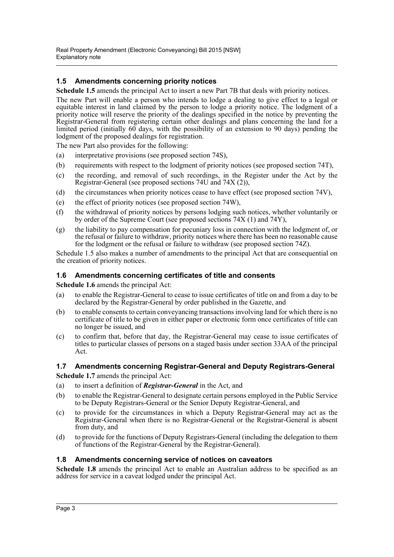### **1.5 Amendments concerning priority notices**

**Schedule 1.5** amends the principal Act to insert a new Part 7B that deals with priority notices.

The new Part will enable a person who intends to lodge a dealing to give effect to a legal or equitable interest in land claimed by the person to lodge a priority notice. The lodgment of a priority notice will reserve the priority of the dealings specified in the notice by preventing the Registrar-General from registering certain other dealings and plans concerning the land for a limited period (initially  $60$  days, with the possibility of an extension to 90 days) pending the lodgment of the proposed dealings for registration.

The new Part also provides for the following:

- (a) interpretative provisions (see proposed section 74S),
- (b) requirements with respect to the lodgment of priority notices (see proposed section 74T),
- (c) the recording, and removal of such recordings, in the Register under the Act by the Registrar-General (see proposed sections 74U and 74X (2)),
- (d) the circumstances when priority notices cease to have effect (see proposed section 74V),
- (e) the effect of priority notices (see proposed section 74W),
- (f) the withdrawal of priority notices by persons lodging such notices, whether voluntarily or by order of the Supreme Court (see proposed sections 74X (1) and 74Y),
- (g) the liability to pay compensation for pecuniary loss in connection with the lodgment of, or the refusal or failure to withdraw, priority notices where there has been no reasonable cause for the lodgment or the refusal or failure to withdraw (see proposed section 74Z).

Schedule 1.5 also makes a number of amendments to the principal Act that are consequential on the creation of priority notices.

#### **1.6 Amendments concerning certificates of title and consents**

**Schedule 1.6** amends the principal Act:

- (a) to enable the Registrar-General to cease to issue certificates of title on and from a day to be declared by the Registrar-General by order published in the Gazette, and
- (b) to enable consents to certain conveyancing transactions involving land for which there is no certificate of title to be given in either paper or electronic form once certificates of title can no longer be issued, and
- (c) to confirm that, before that day, the Registrar-General may cease to issue certificates of titles to particular classes of persons on a staged basis under section 33AA of the principal Act.

#### **1.7 Amendments concerning Registrar-General and Deputy Registrars-General**

**Schedule 1.7** amends the principal Act:

- (a) to insert a definition of *Registrar-General* in the Act, and
- (b) to enable the Registrar-General to designate certain persons employed in the Public Service to be Deputy Registrars-General or the Senior Deputy Registrar-General, and
- (c) to provide for the circumstances in which a Deputy Registrar-General may act as the Registrar-General when there is no Registrar-General or the Registrar-General is absent from duty, and
- (d) to provide for the functions of Deputy Registrars-General (including the delegation to them of functions of the Registrar-General by the Registrar-General).

#### **1.8 Amendments concerning service of notices on caveators**

**Schedule 1.8** amends the principal Act to enable an Australian address to be specified as an address for service in a caveat lodged under the principal Act.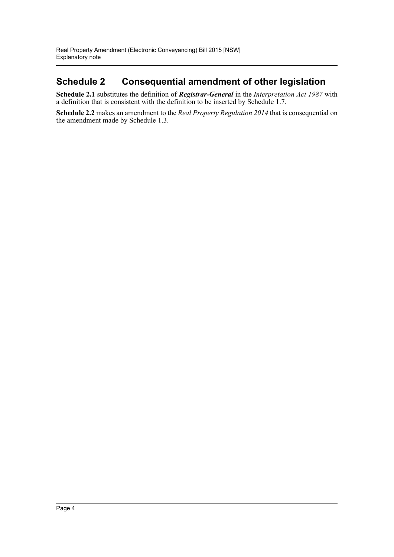## **Schedule 2 Consequential amendment of other legislation**

**Schedule 2.1** substitutes the definition of *Registrar-General* in the *Interpretation Act 1987* with a definition that is consistent with the definition to be inserted by Schedule 1.7.

**Schedule 2.2** makes an amendment to the *Real Property Regulation 2014* that is consequential on the amendment made by Schedule 1.3.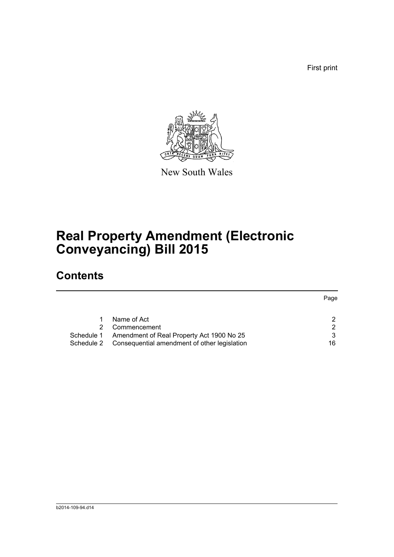First print



New South Wales

# **Real Property Amendment (Electronic Conveyancing) Bill 2015**

# **Contents**

|            |                                              | Page |
|------------|----------------------------------------------|------|
|            |                                              |      |
|            | Name of Act                                  | 2    |
|            | Commencement                                 | 2    |
| Schedule 1 | Amendment of Real Property Act 1900 No 25    | 3    |
| Schedule 2 | Consequential amendment of other legislation | 16   |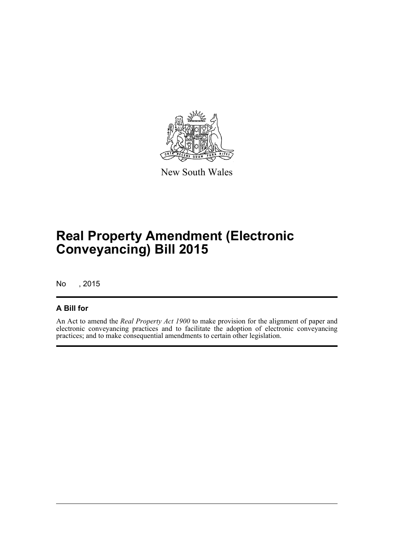

New South Wales

# **Real Property Amendment (Electronic Conveyancing) Bill 2015**

No , 2015

## **A Bill for**

An Act to amend the *Real Property Act 1900* to make provision for the alignment of paper and electronic conveyancing practices and to facilitate the adoption of electronic conveyancing practices; and to make consequential amendments to certain other legislation.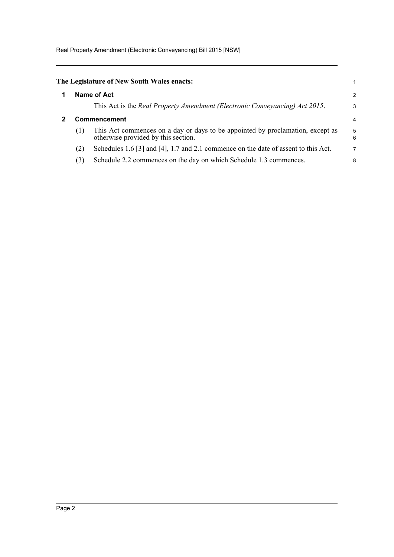Real Property Amendment (Electronic Conveyancing) Bill 2015 [NSW]

<span id="page-6-1"></span><span id="page-6-0"></span>

|              | The Legislature of New South Wales enacts:                                                                            |        |  |  |  |
|--------------|-----------------------------------------------------------------------------------------------------------------------|--------|--|--|--|
| Name of Act  |                                                                                                                       |        |  |  |  |
|              | This Act is the Real Property Amendment (Electronic Conveyancing) Act 2015.                                           | 3      |  |  |  |
| Commencement |                                                                                                                       |        |  |  |  |
| (1)          | This Act commences on a day or days to be appointed by proclamation, except as<br>otherwise provided by this section. | 5<br>6 |  |  |  |
| (2)          | Schedules 1.6 [3] and [4], 1.7 and 2.1 commence on the date of assent to this Act.                                    | 7      |  |  |  |
| (3)          | Schedule 2.2 commences on the day on which Schedule 1.3 commences.                                                    | 8      |  |  |  |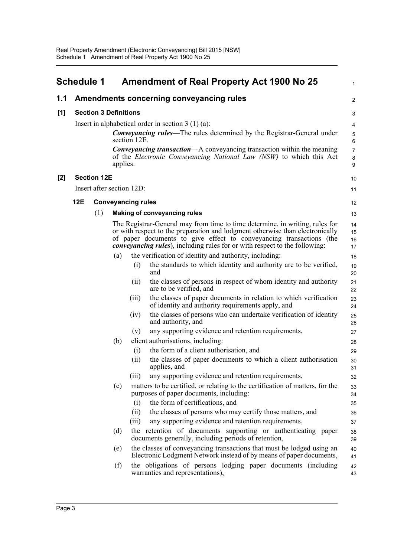<span id="page-7-0"></span>

|     | <b>Schedule 1</b> |                              |          |                           | <b>Amendment of Real Property Act 1900 No 25</b>                                                                                                                                                                                                                                                                           | $\mathbf{1}$             |
|-----|-------------------|------------------------------|----------|---------------------------|----------------------------------------------------------------------------------------------------------------------------------------------------------------------------------------------------------------------------------------------------------------------------------------------------------------------------|--------------------------|
| 1.1 |                   |                              |          |                           | Amendments concerning conveyancing rules                                                                                                                                                                                                                                                                                   | 2                        |
| [1] |                   | <b>Section 3 Definitions</b> |          |                           |                                                                                                                                                                                                                                                                                                                            | 3                        |
|     |                   |                              |          |                           | Insert in alphabetical order in section $3(1)(a)$ :                                                                                                                                                                                                                                                                        | 4                        |
|     |                   |                              |          | section 12E.              | <b>Conveyancing rules—The rules determined by the Registrar-General under</b>                                                                                                                                                                                                                                              | $\sqrt{5}$<br>6          |
|     |                   |                              | applies. |                           | <b>Conveyancing transaction—A</b> conveyancing transaction within the meaning<br>of the Electronic Conveyancing National Law (NSW) to which this Act                                                                                                                                                                       | $\overline{7}$<br>8<br>9 |
| [2] |                   | <b>Section 12E</b>           |          |                           |                                                                                                                                                                                                                                                                                                                            | 10                       |
|     |                   |                              |          | Insert after section 12D: |                                                                                                                                                                                                                                                                                                                            | 11                       |
|     | 12E               |                              |          | <b>Conveyancing rules</b> |                                                                                                                                                                                                                                                                                                                            | 12                       |
|     |                   | (1)                          |          |                           | <b>Making of conveyancing rules</b>                                                                                                                                                                                                                                                                                        | 13                       |
|     |                   |                              |          |                           | The Registrar-General may from time to time determine, in writing, rules for<br>or with respect to the preparation and lodgment otherwise than electronically<br>of paper documents to give effect to conveyancing transactions (the<br><i>convevancing rules</i> ), including rules for or with respect to the following: | 14<br>15<br>16<br>17     |
|     |                   |                              | (a)      |                           | the verification of identity and authority, including:                                                                                                                                                                                                                                                                     | 18                       |
|     |                   |                              |          | (i)                       | the standards to which identity and authority are to be verified,<br>and                                                                                                                                                                                                                                                   | 19<br>20                 |
|     |                   |                              |          | (ii)                      | the classes of persons in respect of whom identity and authority<br>are to be verified, and                                                                                                                                                                                                                                | 21<br>22                 |
|     |                   |                              |          | (iii)                     | the classes of paper documents in relation to which verification<br>of identity and authority requirements apply, and                                                                                                                                                                                                      | 23<br>24                 |
|     |                   |                              |          | (iv)                      | the classes of persons who can undertake verification of identity<br>and authority, and                                                                                                                                                                                                                                    | 25<br>26                 |
|     |                   |                              |          | (v)                       | any supporting evidence and retention requirements,                                                                                                                                                                                                                                                                        | 27                       |
|     |                   |                              | (b)      |                           | client authorisations, including:                                                                                                                                                                                                                                                                                          | 28                       |
|     |                   |                              |          | (i)<br>(ii)               | the form of a client authorisation, and<br>the classes of paper documents to which a client authorisation<br>applies, and                                                                                                                                                                                                  | 29<br>30<br>31           |
|     |                   |                              |          | (iii)                     | any supporting evidence and retention requirements,                                                                                                                                                                                                                                                                        | 32                       |
|     |                   |                              | (c)      |                           | matters to be certified, or relating to the certification of matters, for the<br>purposes of paper documents, including:                                                                                                                                                                                                   | 33<br>34                 |
|     |                   |                              |          | (i)                       | the form of certifications, and                                                                                                                                                                                                                                                                                            | 35                       |
|     |                   |                              |          | (ii)                      | the classes of persons who may certify those matters, and                                                                                                                                                                                                                                                                  | 36                       |
|     |                   |                              |          | (iii)                     | any supporting evidence and retention requirements,                                                                                                                                                                                                                                                                        | 37                       |
|     |                   |                              | (d)      |                           | the retention of documents supporting or authenticating paper<br>documents generally, including periods of retention,                                                                                                                                                                                                      | 38<br>39                 |
|     |                   |                              | (e)      |                           | the classes of conveyancing transactions that must be lodged using an<br>Electronic Lodgment Network instead of by means of paper documents,                                                                                                                                                                               | 40<br>41                 |
|     |                   |                              | (f)      |                           | the obligations of persons lodging paper documents (including<br>warranties and representations),                                                                                                                                                                                                                          | 42<br>43                 |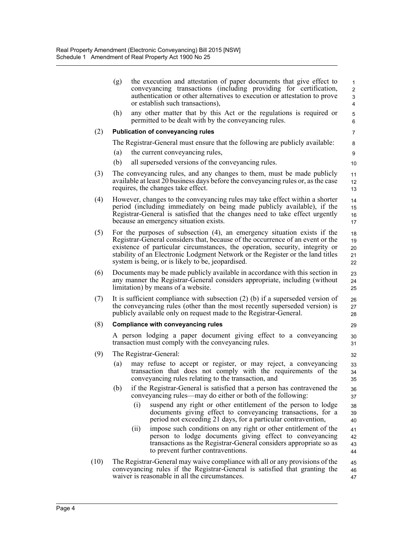|      | (g)                                                                                                                                                                                                                                                                                                | the execution and attestation of paper documents that give effect to<br>conveyancing transactions (including providing for certification,<br>authentication or other alternatives to execution or attestation to prove<br>or establish such transactions),                                                                                                                           | $\mathbf{1}$<br>$\overline{2}$<br>3<br>$\overline{4}$ |  |  |  |  |
|------|----------------------------------------------------------------------------------------------------------------------------------------------------------------------------------------------------------------------------------------------------------------------------------------------------|--------------------------------------------------------------------------------------------------------------------------------------------------------------------------------------------------------------------------------------------------------------------------------------------------------------------------------------------------------------------------------------|-------------------------------------------------------|--|--|--|--|
|      | (h)                                                                                                                                                                                                                                                                                                | any other matter that by this Act or the regulations is required or<br>permitted to be dealt with by the conveyancing rules.                                                                                                                                                                                                                                                         | 5<br>6                                                |  |  |  |  |
| (2)  |                                                                                                                                                                                                                                                                                                    | <b>Publication of conveyancing rules</b>                                                                                                                                                                                                                                                                                                                                             | $\overline{7}$                                        |  |  |  |  |
|      |                                                                                                                                                                                                                                                                                                    | The Registrar-General must ensure that the following are publicly available:                                                                                                                                                                                                                                                                                                         | 8                                                     |  |  |  |  |
|      | (a)                                                                                                                                                                                                                                                                                                | the current conveyancing rules,                                                                                                                                                                                                                                                                                                                                                      | 9                                                     |  |  |  |  |
|      | (b)                                                                                                                                                                                                                                                                                                | all superseded versions of the conveyancing rules.                                                                                                                                                                                                                                                                                                                                   | 10                                                    |  |  |  |  |
| (3)  |                                                                                                                                                                                                                                                                                                    | The conveyancing rules, and any changes to them, must be made publicly<br>available at least 20 business days before the conveyancing rules or, as the case<br>requires, the changes take effect.                                                                                                                                                                                    | 11<br>12<br>13                                        |  |  |  |  |
| (4)  | However, changes to the conveyancing rules may take effect within a shorter<br>14<br>period (including immediately on being made publicly available), if the<br>15<br>Registrar-General is satisfied that the changes need to take effect urgently<br>16<br>because an emergency situation exists. |                                                                                                                                                                                                                                                                                                                                                                                      |                                                       |  |  |  |  |
| (5)  |                                                                                                                                                                                                                                                                                                    | For the purposes of subsection $(4)$ , an emergency situation exists if the<br>Registrar-General considers that, because of the occurrence of an event or the<br>existence of particular circumstances, the operation, security, integrity or<br>stability of an Electronic Lodgment Network or the Register or the land titles<br>system is being, or is likely to be, jeopardised. | 18<br>19<br>20<br>21<br>22                            |  |  |  |  |
| (6)  |                                                                                                                                                                                                                                                                                                    | Documents may be made publicly available in accordance with this section in<br>any manner the Registrar-General considers appropriate, including (without<br>limitation) by means of a website.                                                                                                                                                                                      | 23<br>24<br>25                                        |  |  |  |  |
| (7)  |                                                                                                                                                                                                                                                                                                    | It is sufficient compliance with subsection $(2)$ (b) if a superseded version of<br>the conveyancing rules (other than the most recently superseded version) is<br>publicly available only on request made to the Registrar-General.                                                                                                                                                 | 26<br>27<br>28                                        |  |  |  |  |
| (8)  |                                                                                                                                                                                                                                                                                                    | <b>Compliance with conveyancing rules</b>                                                                                                                                                                                                                                                                                                                                            | 29                                                    |  |  |  |  |
|      |                                                                                                                                                                                                                                                                                                    | A person lodging a paper document giving effect to a conveyancing<br>transaction must comply with the conveyancing rules.                                                                                                                                                                                                                                                            | 30<br>31                                              |  |  |  |  |
| (9)  |                                                                                                                                                                                                                                                                                                    | The Registrar-General:                                                                                                                                                                                                                                                                                                                                                               | 32                                                    |  |  |  |  |
|      | (a)                                                                                                                                                                                                                                                                                                | may refuse to accept or register, or may reject, a conveyancing<br>transaction that does not comply with the requirements of the<br>conveyancing rules relating to the transaction, and                                                                                                                                                                                              | 33<br>34<br>35                                        |  |  |  |  |
|      | (b)                                                                                                                                                                                                                                                                                                | if the Registrar-General is satisfied that a person has contravened the<br>conveyancing rules—may do either or both of the following:                                                                                                                                                                                                                                                | 36<br>37                                              |  |  |  |  |
|      |                                                                                                                                                                                                                                                                                                    | (i)<br>suspend any right or other entitlement of the person to lodge<br>documents giving effect to conveyancing transactions, for a<br>period not exceeding 21 days, for a particular contravention,                                                                                                                                                                                 | 38<br>39<br>40                                        |  |  |  |  |
|      |                                                                                                                                                                                                                                                                                                    | impose such conditions on any right or other entitlement of the<br>(ii)<br>person to lodge documents giving effect to conveyancing<br>transactions as the Registrar-General considers appropriate so as<br>to prevent further contraventions.                                                                                                                                        | 41<br>42<br>43<br>44                                  |  |  |  |  |
| (10) |                                                                                                                                                                                                                                                                                                    | The Registrar-General may waive compliance with all or any provisions of the<br>conveyancing rules if the Registrar-General is satisfied that granting the<br>waiver is reasonable in all the circumstances.                                                                                                                                                                         | 45<br>46<br>47                                        |  |  |  |  |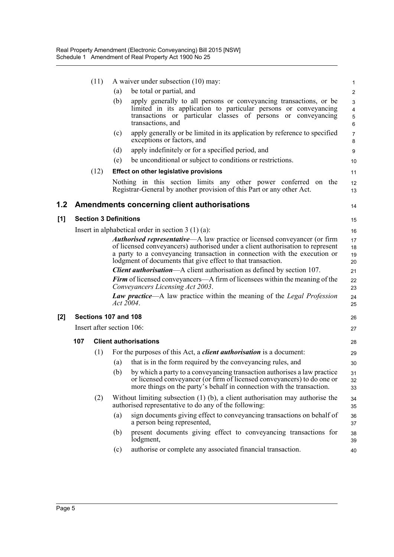|       |                                                     | (11)                         |     | A waiver under subsection (10) may:                                                                                                                                                                                                                                                                                                                                                             | $\mathbf{1}$                             |  |  |
|-------|-----------------------------------------------------|------------------------------|-----|-------------------------------------------------------------------------------------------------------------------------------------------------------------------------------------------------------------------------------------------------------------------------------------------------------------------------------------------------------------------------------------------------|------------------------------------------|--|--|
|       |                                                     |                              | (a) | be total or partial, and                                                                                                                                                                                                                                                                                                                                                                        | $\overline{c}$                           |  |  |
|       |                                                     |                              | (b) | apply generally to all persons or conveyancing transactions, or be<br>limited in its application to particular persons or conveyancing<br>transactions or particular classes of persons or conveyancing<br>transactions, and                                                                                                                                                                    | 3<br>4<br>$\mathbf 5$<br>$6\phantom{1}6$ |  |  |
|       |                                                     |                              | (c) | apply generally or be limited in its application by reference to specified<br>exceptions or factors, and                                                                                                                                                                                                                                                                                        | $\overline{7}$<br>8                      |  |  |
|       |                                                     |                              | (d) | apply indefinitely or for a specified period, and                                                                                                                                                                                                                                                                                                                                               | 9                                        |  |  |
|       |                                                     |                              | (e) | be unconditional or subject to conditions or restrictions.                                                                                                                                                                                                                                                                                                                                      | 10                                       |  |  |
|       |                                                     | (12)                         |     | <b>Effect on other legislative provisions</b>                                                                                                                                                                                                                                                                                                                                                   | 11                                       |  |  |
|       |                                                     |                              |     | Nothing in this section limits any other power conferred on the<br>Registrar-General by another provision of this Part or any other Act.                                                                                                                                                                                                                                                        | 12<br>13                                 |  |  |
| 1.2   |                                                     |                              |     | <b>Amendments concerning client authorisations</b>                                                                                                                                                                                                                                                                                                                                              | 14                                       |  |  |
| [1]   |                                                     | <b>Section 3 Definitions</b> |     |                                                                                                                                                                                                                                                                                                                                                                                                 | 15                                       |  |  |
|       | Insert in alphabetical order in section $3(1)(a)$ : |                              |     |                                                                                                                                                                                                                                                                                                                                                                                                 |                                          |  |  |
|       |                                                     |                              |     | <b>Authorised representative—A</b> law practice or licensed conveyancer (or firm<br>of licensed conveyancers) authorised under a client authorisation to represent<br>a party to a conveyancing transaction in connection with the execution or<br>lodgment of documents that give effect to that transaction.<br><b>Client authorisation—A</b> client authorisation as defined by section 107. | 17<br>18<br>19<br>20<br>21               |  |  |
|       |                                                     |                              |     | <b>Firm</b> of licensed conveyancers—A firm of licensees within the meaning of the<br>Conveyancers Licensing Act 2003.                                                                                                                                                                                                                                                                          | 22<br>23                                 |  |  |
|       |                                                     |                              |     | Law practice-A law practice within the meaning of the Legal Profession<br>Act 2004.                                                                                                                                                                                                                                                                                                             | 24<br>25                                 |  |  |
| $[2]$ | Sections 107 and 108                                |                              |     |                                                                                                                                                                                                                                                                                                                                                                                                 |                                          |  |  |
|       | Insert after section 106:                           |                              |     |                                                                                                                                                                                                                                                                                                                                                                                                 |                                          |  |  |
|       | 107                                                 |                              |     | <b>Client authorisations</b>                                                                                                                                                                                                                                                                                                                                                                    | 28                                       |  |  |
|       |                                                     | (1)                          |     | For the purposes of this Act, a <i>client authorisation</i> is a document:                                                                                                                                                                                                                                                                                                                      | 29                                       |  |  |
|       |                                                     |                              | (a) | that is in the form required by the conveyancing rules, and                                                                                                                                                                                                                                                                                                                                     | 30                                       |  |  |
|       |                                                     |                              |     | (b) by which a party to a conveyancing transaction authorises a law practice<br>or licensed conveyancer (or firm of licensed conveyancers) to do one or<br>more things on the party's behalf in connection with the transaction.                                                                                                                                                                | 31<br>32<br>33                           |  |  |
|       |                                                     | (2)                          |     | Without limiting subsection $(1)$ (b), a client authorisation may authorise the<br>authorised representative to do any of the following:                                                                                                                                                                                                                                                        | 34<br>35                                 |  |  |
|       |                                                     |                              | (a) | sign documents giving effect to conveyancing transactions on behalf of<br>a person being represented,                                                                                                                                                                                                                                                                                           | 36<br>37                                 |  |  |
|       |                                                     |                              | (b) | present documents giving effect to conveyancing transactions for<br>lodgment,                                                                                                                                                                                                                                                                                                                   | 38<br>39                                 |  |  |
|       |                                                     |                              | (c) | authorise or complete any associated financial transaction.                                                                                                                                                                                                                                                                                                                                     | 40                                       |  |  |

 $[1]$ 

**[2]**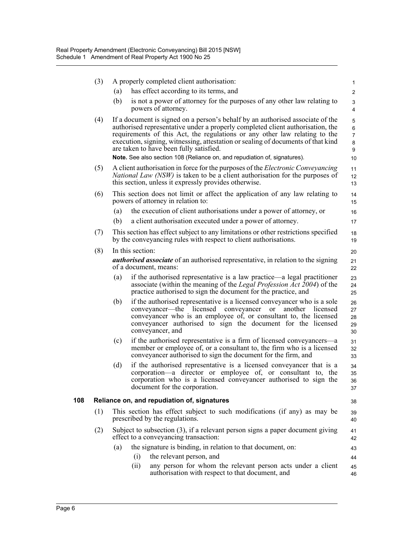|     | (3) |                                                                                                                                     | A properly completed client authorisation:                                                                                                                                                                                                                                                                                                                                    | $\mathbf{1}$                       |  |  |  |  |
|-----|-----|-------------------------------------------------------------------------------------------------------------------------------------|-------------------------------------------------------------------------------------------------------------------------------------------------------------------------------------------------------------------------------------------------------------------------------------------------------------------------------------------------------------------------------|------------------------------------|--|--|--|--|
|     |     | (a)                                                                                                                                 | has effect according to its terms, and                                                                                                                                                                                                                                                                                                                                        | $\overline{c}$                     |  |  |  |  |
|     |     | (b)                                                                                                                                 | is not a power of attorney for the purposes of any other law relating to<br>powers of attorney.                                                                                                                                                                                                                                                                               | 3<br>4                             |  |  |  |  |
|     | (4) |                                                                                                                                     | If a document is signed on a person's behalf by an authorised associate of the<br>authorised representative under a properly completed client authorisation, the<br>requirements of this Act, the regulations or any other law relating to the<br>execution, signing, witnessing, attestation or sealing of documents of that kind<br>are taken to have been fully satisfied. | 5<br>6<br>$\overline{7}$<br>8<br>9 |  |  |  |  |
|     |     |                                                                                                                                     | Note. See also section 108 (Reliance on, and repudiation of, signatures).                                                                                                                                                                                                                                                                                                     | 10                                 |  |  |  |  |
|     | (5) |                                                                                                                                     | A client authorisation in force for the purposes of the Electronic Conveyancing<br><i>National Law (NSW)</i> is taken to be a client authorisation for the purposes of<br>this section, unless it expressly provides otherwise.                                                                                                                                               | 11<br>12<br>13                     |  |  |  |  |
|     | (6) |                                                                                                                                     | This section does not limit or affect the application of any law relating to<br>powers of attorney in relation to:                                                                                                                                                                                                                                                            | 14<br>15                           |  |  |  |  |
|     |     | (a)                                                                                                                                 | the execution of client authorisations under a power of attorney, or                                                                                                                                                                                                                                                                                                          | 16                                 |  |  |  |  |
|     |     | (b)                                                                                                                                 | a client authorisation executed under a power of attorney.                                                                                                                                                                                                                                                                                                                    | 17                                 |  |  |  |  |
|     | (7) |                                                                                                                                     | This section has effect subject to any limitations or other restrictions specified<br>by the conveyancing rules with respect to client authorisations.                                                                                                                                                                                                                        | 18<br>19                           |  |  |  |  |
|     | (8) |                                                                                                                                     | In this section:                                                                                                                                                                                                                                                                                                                                                              | 20                                 |  |  |  |  |
|     |     | <b><i>authorised associate</i></b> of an authorised representative, in relation to the signing<br>21<br>of a document, means:<br>22 |                                                                                                                                                                                                                                                                                                                                                                               |                                    |  |  |  |  |
|     |     | (a)                                                                                                                                 | if the authorised representative is a law practice—a legal practitioner<br>associate (within the meaning of the <i>Legal Profession Act 2004</i> ) of the<br>practice authorised to sign the document for the practice, and                                                                                                                                                   | 23<br>24<br>25                     |  |  |  |  |
|     |     | (b)                                                                                                                                 | if the authorised representative is a licensed conveyancer who is a sole<br>conveyancer—the licensed conveyancer or<br>another licensed<br>conveyancer who is an employee of, or consultant to, the licensed<br>conveyancer authorised to sign the document for the licensed<br>conveyancer, and                                                                              | 26<br>27<br>28<br>29<br>30         |  |  |  |  |
|     |     | (c)                                                                                                                                 | if the authorised representative is a firm of licensed conveyancers—a<br>member or employee of, or a consultant to, the firm who is a licensed<br>conveyancer authorised to sign the document for the firm, and                                                                                                                                                               | 31<br>32<br>33                     |  |  |  |  |
|     |     | (d)                                                                                                                                 | if the authorised representative is a licensed conveyancer that is a<br>corporation-a director or employee of, or consultant to, the<br>corporation who is a licensed conveyancer authorised to sign the<br>document for the corporation.                                                                                                                                     | 34<br>35<br>36<br>37               |  |  |  |  |
| 108 |     |                                                                                                                                     | Reliance on, and repudiation of, signatures                                                                                                                                                                                                                                                                                                                                   | 38                                 |  |  |  |  |
|     | (1) | This section has effect subject to such modifications (if any) as may be<br>prescribed by the regulations.                          |                                                                                                                                                                                                                                                                                                                                                                               |                                    |  |  |  |  |
|     | (2) |                                                                                                                                     | Subject to subsection $(3)$ , if a relevant person signs a paper document giving<br>effect to a conveyancing transaction:                                                                                                                                                                                                                                                     | 41<br>42                           |  |  |  |  |
|     |     | (a)                                                                                                                                 | the signature is binding, in relation to that document, on:                                                                                                                                                                                                                                                                                                                   | 43                                 |  |  |  |  |
|     |     |                                                                                                                                     | the relevant person, and<br>(i)                                                                                                                                                                                                                                                                                                                                               | 44                                 |  |  |  |  |
|     |     |                                                                                                                                     | any person for whom the relevant person acts under a client<br>(i)<br>authorisation with respect to that document, and                                                                                                                                                                                                                                                        | 45<br>46                           |  |  |  |  |
|     |     |                                                                                                                                     |                                                                                                                                                                                                                                                                                                                                                                               |                                    |  |  |  |  |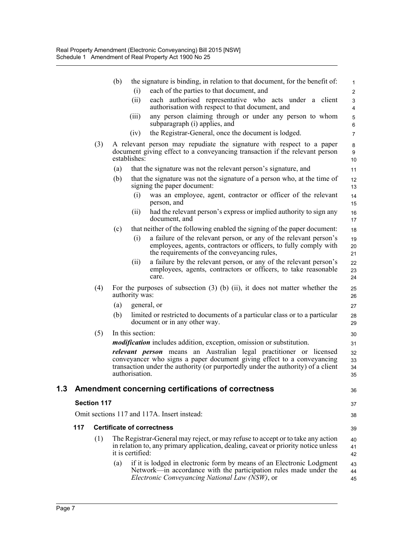|     |                    |     | (b) |                  | the signature is binding, in relation to that document, for the benefit of:                                                                                                                                                             | $\mathbf{1}$                              |
|-----|--------------------|-----|-----|------------------|-----------------------------------------------------------------------------------------------------------------------------------------------------------------------------------------------------------------------------------------|-------------------------------------------|
|     |                    |     |     | (i)              | each of the parties to that document, and                                                                                                                                                                                               | $\overline{2}$                            |
|     |                    |     |     | (ii)             | each authorised representative who acts under a client<br>authorisation with respect to that document, and                                                                                                                              | $\mathfrak{S}$<br>$\overline{\mathbf{4}}$ |
|     |                    |     |     | (iii)            | any person claiming through or under any person to whom<br>subparagraph (i) applies, and                                                                                                                                                | $\mathbf 5$<br>6                          |
|     |                    |     |     | (iv)             | the Registrar-General, once the document is lodged.                                                                                                                                                                                     | $\overline{7}$                            |
|     |                    | (3) |     | establishes:     | A relevant person may repudiate the signature with respect to a paper<br>document giving effect to a conveyancing transaction if the relevant person                                                                                    | 8<br>9<br>10                              |
|     |                    |     | (a) |                  | that the signature was not the relevant person's signature, and                                                                                                                                                                         | 11                                        |
|     |                    |     | (b) |                  | that the signature was not the signature of a person who, at the time of<br>signing the paper document:                                                                                                                                 | 12<br>13                                  |
|     |                    |     |     | (i)              | was an employee, agent, contractor or officer of the relevant<br>person, and                                                                                                                                                            | 14<br>15                                  |
|     |                    |     |     | (ii)             | had the relevant person's express or implied authority to sign any<br>document, and                                                                                                                                                     | 16<br>17                                  |
|     |                    |     | (c) |                  | that neither of the following enabled the signing of the paper document:                                                                                                                                                                | 18                                        |
|     |                    |     |     | (i)              | a failure of the relevant person, or any of the relevant person's<br>employees, agents, contractors or officers, to fully comply with<br>the requirements of the conveyancing rules,                                                    | 19<br>20<br>21                            |
|     |                    |     |     | (ii)             | a failure by the relevant person, or any of the relevant person's<br>employees, agents, contractors or officers, to take reasonable<br>care.                                                                                            | 22<br>23<br>24                            |
|     |                    | (4) |     | authority was:   | For the purposes of subsection $(3)$ (b) $(ii)$ , it does not matter whether the                                                                                                                                                        | 25<br>26                                  |
|     |                    |     | (a) |                  | general, or                                                                                                                                                                                                                             | 27                                        |
|     |                    |     | (b) |                  | limited or restricted to documents of a particular class or to a particular<br>document or in any other way.                                                                                                                            | 28<br>29                                  |
|     |                    | (5) |     | In this section: |                                                                                                                                                                                                                                         | 30                                        |
|     |                    |     |     |                  | <i>modification</i> includes addition, exception, omission or substitution.                                                                                                                                                             | 31                                        |
|     |                    |     |     | authorisation.   | <i>relevant person</i> means an Australian legal practitioner or licensed<br>conveyancer who signs a paper document giving effect to a conveyancing<br>transaction under the authority (or purportedly under the authority) of a client | 32<br>33<br>34<br>35                      |
| 1.3 |                    |     |     |                  | Amendment concerning certifications of correctness                                                                                                                                                                                      | 36                                        |
|     | <b>Section 117</b> |     |     |                  |                                                                                                                                                                                                                                         | 37                                        |
|     |                    |     |     |                  | Omit sections 117 and 117A. Insert instead:                                                                                                                                                                                             | 38                                        |
|     | 117                |     |     |                  | <b>Certificate of correctness</b>                                                                                                                                                                                                       | 39                                        |
|     |                    | (1) |     | it is certified: | The Registrar-General may reject, or may refuse to accept or to take any action<br>in relation to, any primary application, dealing, caveat or priority notice unless                                                                   | 40<br>41<br>42                            |
|     |                    |     | (a) |                  | if it is lodged in electronic form by means of an Electronic Lodgment<br>Network—in accordance with the participation rules made under the<br><i>Electronic Conveyancing National Law (NSW)</i> , or                                    | 43<br>44<br>45                            |
|     |                    |     |     |                  |                                                                                                                                                                                                                                         |                                           |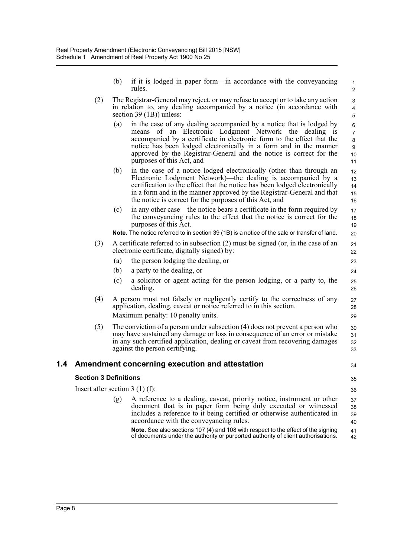- (b) if it is lodged in paper form—in accordance with the conveyancing rules.
- (2) The Registrar-General may reject, or may refuse to accept or to take any action in relation to, any dealing accompanied by a notice (in accordance with section 39 (1B)) unless:
	- (a) in the case of any dealing accompanied by a notice that is lodged by means of an Electronic Lodgment Network—the dealing is accompanied by a certificate in electronic form to the effect that the notice has been lodged electronically in a form and in the manner approved by the Registrar-General and the notice is correct for the purposes of this Act, and
	- (b) in the case of a notice lodged electronically (other than through an Electronic Lodgment Network)—the dealing is accompanied by a certification to the effect that the notice has been lodged electronically in a form and in the manner approved by the Registrar-General and that the notice is correct for the purposes of this Act, and
	- (c) in any other case—the notice bears a certificate in the form required by the conveyancing rules to the effect that the notice is correct for the purposes of this Act.

**Note.** The notice referred to in section 39 (1B) is a notice of the sale or transfer of land.

(3) A certificate referred to in subsection (2) must be signed (or, in the case of an electronic certificate, digitally signed) by:

(a) the person lodging the dealing, or

- (b) a party to the dealing, or
- (c) a solicitor or agent acting for the person lodging, or a party to, the dealing.
- (4) A person must not falsely or negligently certify to the correctness of any application, dealing, caveat or notice referred to in this section. Maximum penalty: 10 penalty units.
- (5) The conviction of a person under subsection (4) does not prevent a person who may have sustained any damage or loss in consequence of an error or mistake in any such certified application, dealing or caveat from recovering damages against the person certifying. 30 31 32 33

#### **1.4 Amendment concerning execution and attestation**

#### **Section 3 Definitions**

35

34

Insert after section 3 (1) (f): (g) A reference to a dealing, caveat, priority notice, instrument or other document that is in paper form being duly executed or witnessed includes a reference to it being certified or otherwise authenticated in accordance with the conveyancing rules. **Note.** See also sections 107 (4) and 108 with respect to the effect of the signing 36 37 38 39 40 41

of documents under the authority or purported authority of client authorisations. 42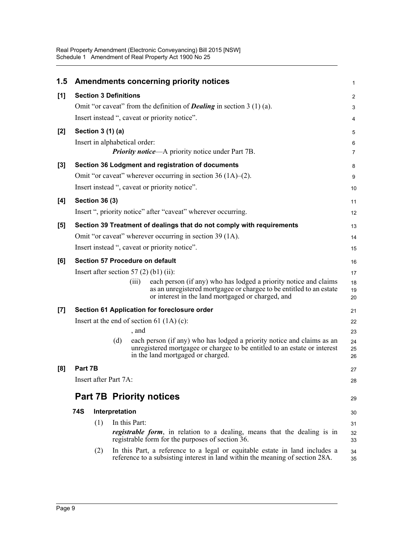| 1.5   |                              |                |     |                               | <b>Amendments concerning priority notices</b>                                                                                                                                                | $\mathbf{1}$   |
|-------|------------------------------|----------------|-----|-------------------------------|----------------------------------------------------------------------------------------------------------------------------------------------------------------------------------------------|----------------|
| [1]   | <b>Section 3 Definitions</b> |                |     |                               |                                                                                                                                                                                              | $\overline{2}$ |
|       |                              |                |     |                               | Omit "or caveat" from the definition of <b>Dealing</b> in section $3(1)(a)$ .                                                                                                                | 3              |
|       |                              |                |     |                               | Insert instead ", caveat or priority notice".                                                                                                                                                | 4              |
| $[2]$ | Section 3 (1) (a)            |                |     |                               |                                                                                                                                                                                              | 5              |
|       |                              |                |     | Insert in alphabetical order: |                                                                                                                                                                                              | 6              |
|       |                              |                |     |                               | <b>Priority notice—A</b> priority notice under Part 7B.                                                                                                                                      | $\overline{7}$ |
| $[3]$ |                              |                |     |                               | Section 36 Lodgment and registration of documents                                                                                                                                            | 8              |
|       |                              |                |     |                               | Omit "or caveat" wherever occurring in section $36(1A)$ –(2).                                                                                                                                | 9              |
|       |                              |                |     |                               | Insert instead ", caveat or priority notice".                                                                                                                                                | 10             |
| [4]   | <b>Section 36 (3)</b>        |                |     |                               |                                                                                                                                                                                              | 11             |
|       |                              |                |     |                               | Insert ", priority notice" after "caveat" wherever occurring.                                                                                                                                | 12             |
| [5]   |                              |                |     |                               | Section 39 Treatment of dealings that do not comply with requirements                                                                                                                        | 13             |
|       |                              |                |     |                               | Omit "or caveat" wherever occurring in section 39 (1A).                                                                                                                                      | 14             |
|       |                              |                |     |                               | Insert instead ", caveat or priority notice".                                                                                                                                                | 15             |
| [6]   |                              |                |     |                               | <b>Section 57 Procedure on default</b>                                                                                                                                                       | 16             |
|       |                              |                |     |                               | Insert after section 57 $(2)$ (b1) $(ii)$ :                                                                                                                                                  | 17             |
|       |                              |                |     | (iii)                         | each person (if any) who has lodged a priority notice and claims<br>as an unregistered mortgagee or chargee to be entitled to an estate<br>or interest in the land mortgaged or charged, and | 18<br>19<br>20 |
| [7]   |                              |                |     |                               | Section 61 Application for foreclosure order                                                                                                                                                 | 21             |
|       |                              |                |     |                               | Insert at the end of section 61 $(1A)(c)$ :                                                                                                                                                  | 22             |
|       |                              |                |     | , and                         |                                                                                                                                                                                              | 23             |
|       |                              |                | (d) |                               | each person (if any) who has lodged a priority notice and claims as an<br>unregistered mortgagee or chargee to be entitled to an estate or interest<br>in the land mortgaged or charged.     | 24<br>25<br>26 |
| [8]   | Part 7B                      |                |     |                               |                                                                                                                                                                                              | 27             |
|       | Insert after Part 7A:        |                |     |                               |                                                                                                                                                                                              | 28             |
|       |                              |                |     |                               | <b>Part 7B Priority notices</b>                                                                                                                                                              | 29             |
|       | 74S                          | Interpretation |     |                               |                                                                                                                                                                                              | 30             |
|       |                              | (1)            |     | In this Part:                 |                                                                                                                                                                                              | 31             |
|       |                              |                |     |                               | <i>registrable form</i> , in relation to a dealing, means that the dealing is in<br>registrable form for the purposes of section 36.                                                         | 32<br>33       |
|       |                              | (2)            |     |                               | In this Part, a reference to a legal or equitable estate in land includes a<br>reference to a subsisting interest in land within the meaning of section 28A.                                 | 34<br>35       |
|       |                              |                |     |                               |                                                                                                                                                                                              |                |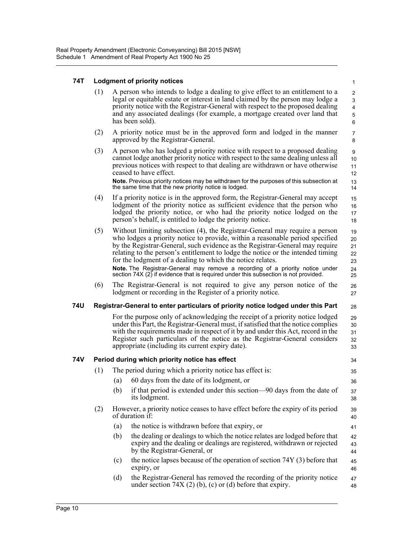#### **74T Lodgment of priority notices**

(1) A person who intends to lodge a dealing to give effect to an entitlement to a legal or equitable estate or interest in land claimed by the person may lodge a priority notice with the Registrar-General with respect to the proposed dealing and any associated dealings (for example, a mortgage created over land that has been sold).

16 17 18

26 27

28

34 35 36

39 40 41

- (2) A priority notice must be in the approved form and lodged in the manner approved by the Registrar-General.
- (3) A person who has lodged a priority notice with respect to a proposed dealing cannot lodge another priority notice with respect to the same dealing unless all previous notices with respect to that dealing are withdrawn or have otherwise ceased to have effect. **Note.** Previous priority notices may be withdrawn for the purposes of this subsection at the same time that the new priority notice is lodged.
- (4) If a priority notice is in the approved form, the Registrar-General may accept lodgment of the priority notice as sufficient evidence that the person who lodged the priority notice, or who had the priority notice lodged on the person's behalf, is entitled to lodge the priority notice. 15
- (5) Without limiting subsection (4), the Registrar-General may require a person who lodges a priority notice to provide, within a reasonable period specified by the Registrar-General, such evidence as the Registrar-General may require relating to the person's entitlement to lodge the notice or the intended timing for the lodgment of a dealing to which the notice relates. **Note.** The Registrar-General may remove a recording of a priority notice under section 74X (2) if evidence that is required under this subsection is not provided. 19 20 21 22 23 24 25
- (6) The Registrar-General is not required to give any person notice of the lodgment or recording in the Register of a priority notice.

#### **74U Registrar-General to enter particulars of priority notice lodged under this Part**

For the purpose only of acknowledging the receipt of a priority notice lodged under this Part, the Registrar-General must, if satisfied that the notice complies with the requirements made in respect of it by and under this Act, record in the Register such particulars of the notice as the Registrar-General considers appropriate (including its current expiry date). 29 30 31 32 33

#### **74V Period during which priority notice has effect**

- (1) The period during which a priority notice has effect is:
	- (a) 60 days from the date of its lodgment, or
	- (b) if that period is extended under this section—90 days from the date of its lodgment. 37 38
- (2) However, a priority notice ceases to have effect before the expiry of its period of duration if:
	- (a) the notice is withdrawn before that expiry, or
	- (b) the dealing or dealings to which the notice relates are lodged before that expiry and the dealing or dealings are registered, withdrawn or rejected by the Registrar-General, or 42 43 44
	- (c) the notice lapses because of the operation of section 74Y (3) before that expiry, or 45 46
	- (d) the Registrar-General has removed the recording of the priority notice under section  $74X(2)(b)$ , (c) or (d) before that expiry. 47 48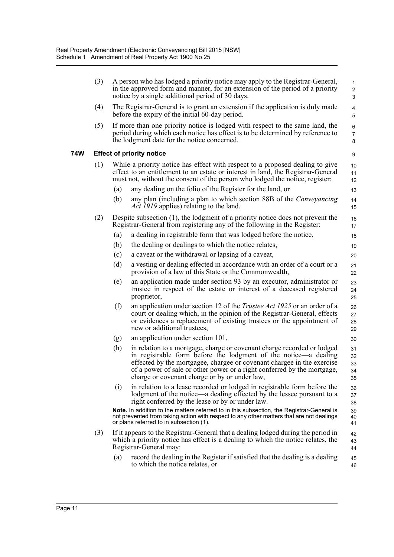| (3) | A person who has lodged a priority notice may apply to the Registrar-General,<br>in the approved form and manner, for an extension of the period of a priority<br>$\overline{2}$<br>notice by a single additional period of 30 days.<br>3 |                                                                                                                                                                                                                                                                                                                                                  |                             |  |  |  |  |
|-----|-------------------------------------------------------------------------------------------------------------------------------------------------------------------------------------------------------------------------------------------|--------------------------------------------------------------------------------------------------------------------------------------------------------------------------------------------------------------------------------------------------------------------------------------------------------------------------------------------------|-----------------------------|--|--|--|--|
| (4) |                                                                                                                                                                                                                                           | The Registrar-General is to grant an extension if the application is duly made<br>before the expiry of the initial 60-day period.                                                                                                                                                                                                                | 4<br>5                      |  |  |  |  |
| (5) |                                                                                                                                                                                                                                           | If more than one priority notice is lodged with respect to the same land, the<br>period during which each notice has effect is to be determined by reference to<br>the lodgment date for the notice concerned.                                                                                                                                   | 6<br>$\overline{7}$<br>8    |  |  |  |  |
|     |                                                                                                                                                                                                                                           | <b>Effect of priority notice</b>                                                                                                                                                                                                                                                                                                                 | 9                           |  |  |  |  |
| (1) |                                                                                                                                                                                                                                           | While a priority notice has effect with respect to a proposed dealing to give<br>effect to an entitlement to an estate or interest in land, the Registrar-General<br>must not, without the consent of the person who lodged the notice, register:                                                                                                | 10<br>11<br>12 <sup>2</sup> |  |  |  |  |
|     | (a)                                                                                                                                                                                                                                       | any dealing on the folio of the Register for the land, or                                                                                                                                                                                                                                                                                        | 13                          |  |  |  |  |
|     | (b)                                                                                                                                                                                                                                       | any plan (including a plan to which section 88B of the <i>Conveyancing</i><br><i>Act 1919</i> applies) relating to the land.                                                                                                                                                                                                                     | 14<br>15                    |  |  |  |  |
| (2) |                                                                                                                                                                                                                                           | Despite subsection $(1)$ , the lodgment of a priority notice does not prevent the<br>Registrar-General from registering any of the following in the Register:                                                                                                                                                                                    | 16<br>17                    |  |  |  |  |
|     | (a)                                                                                                                                                                                                                                       | a dealing in registrable form that was lodged before the notice,                                                                                                                                                                                                                                                                                 | 18                          |  |  |  |  |
|     | (b)                                                                                                                                                                                                                                       | the dealing or dealings to which the notice relates,                                                                                                                                                                                                                                                                                             | 19                          |  |  |  |  |
|     | (c)                                                                                                                                                                                                                                       | a caveat or the withdrawal or lapsing of a caveat,                                                                                                                                                                                                                                                                                               | 20                          |  |  |  |  |
|     | (d)                                                                                                                                                                                                                                       | a vesting or dealing effected in accordance with an order of a court or a<br>provision of a law of this State or the Commonwealth,                                                                                                                                                                                                               | 21<br>22                    |  |  |  |  |
|     | (e)                                                                                                                                                                                                                                       | an application made under section 93 by an executor, administrator or<br>trustee in respect of the estate or interest of a deceased registered<br>proprietor,                                                                                                                                                                                    | 23<br>24<br>25              |  |  |  |  |
|     | (f)                                                                                                                                                                                                                                       | an application under section 12 of the <i>Trustee Act 1925</i> or an order of a<br>court or dealing which, in the opinion of the Registrar-General, effects<br>or evidences a replacement of existing trustees or the appointment of<br>new or additional trustees,                                                                              | 26<br>27<br>28<br>29        |  |  |  |  |
|     | (g)                                                                                                                                                                                                                                       | an application under section 101,                                                                                                                                                                                                                                                                                                                | 30                          |  |  |  |  |
|     | (h)                                                                                                                                                                                                                                       | in relation to a mortgage, charge or covenant charge recorded or lodged<br>in registrable form before the lodgment of the notice—a dealing<br>effected by the mortgagee, chargee or covenant chargee in the exercise<br>of a power of sale or other power or a right conferred by the mortgage,<br>charge or covenant charge or by or under law, | 31<br>32<br>33<br>34<br>35  |  |  |  |  |
|     | (i)                                                                                                                                                                                                                                       | in relation to a lease recorded or lodged in registrable form before the<br>lodgment of the notice—a dealing effected by the lessee pursuant to a<br>right conferred by the lease or by or under law.                                                                                                                                            | 36<br>37<br>38              |  |  |  |  |
|     |                                                                                                                                                                                                                                           | Note. In addition to the matters referred to in this subsection, the Registrar-General is<br>not prevented from taking action with respect to any other matters that are not dealings<br>or plans referred to in subsection (1).                                                                                                                 | 39<br>40<br>41              |  |  |  |  |
| (3) |                                                                                                                                                                                                                                           | If it appears to the Registrar-General that a dealing lodged during the period in<br>which a priority notice has effect is a dealing to which the notice relates, the<br>Registrar-General may:                                                                                                                                                  | 42<br>43<br>44              |  |  |  |  |
|     | (a)                                                                                                                                                                                                                                       | record the dealing in the Register if satisfied that the dealing is a dealing<br>to which the notice relates, or                                                                                                                                                                                                                                 | 45<br>46                    |  |  |  |  |

**74W**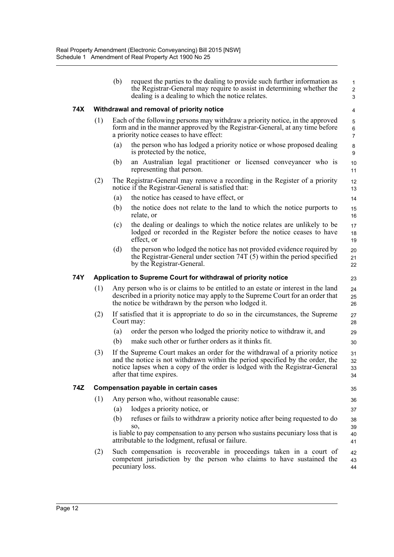|     |     | (b) | request the parties to the dealing to provide such further information as<br>the Registrar-General may require to assist in determining whether the<br>dealing is a dealing to which the notice relates.                                                                | $\mathbf{1}$<br>$\overline{2}$<br>3 |
|-----|-----|-----|-------------------------------------------------------------------------------------------------------------------------------------------------------------------------------------------------------------------------------------------------------------------------|-------------------------------------|
| 74X |     |     | Withdrawal and removal of priority notice                                                                                                                                                                                                                               | 4                                   |
|     | (1) |     | Each of the following persons may withdraw a priority notice, in the approved<br>form and in the manner approved by the Registrar-General, at any time before<br>a priority notice ceases to have effect:                                                               | $\sqrt{5}$<br>6<br>$\overline{7}$   |
|     |     | (a) | the person who has lodged a priority notice or whose proposed dealing<br>is protected by the notice,                                                                                                                                                                    | 8<br>9                              |
|     |     | (b) | an Australian legal practitioner or licensed conveyancer who is<br>representing that person.                                                                                                                                                                            | 10<br>11                            |
|     | (2) |     | The Registrar-General may remove a recording in the Register of a priority<br>notice if the Registrar-General is satisfied that:                                                                                                                                        | 12<br>13                            |
|     |     | (a) | the notice has ceased to have effect, or                                                                                                                                                                                                                                | 14                                  |
|     |     | (b) | the notice does not relate to the land to which the notice purports to<br>relate, or                                                                                                                                                                                    | 15<br>16                            |
|     |     | (c) | the dealing or dealings to which the notice relates are unlikely to be<br>lodged or recorded in the Register before the notice ceases to have<br>effect, or                                                                                                             | 17<br>18<br>19                      |
|     |     | (d) | the person who lodged the notice has not provided evidence required by<br>the Registrar-General under section $74T(5)$ within the period specified<br>by the Registrar-General.                                                                                         | 20<br>21<br>22                      |
| 74Y |     |     | Application to Supreme Court for withdrawal of priority notice                                                                                                                                                                                                          | 23                                  |
|     | (1) |     | Any person who is or claims to be entitled to an estate or interest in the land<br>described in a priority notice may apply to the Supreme Court for an order that<br>the notice be withdrawn by the person who lodged it.                                              | 24<br>25<br>26                      |
|     | (2) |     | If satisfied that it is appropriate to do so in the circumstances, the Supreme<br>Court may:                                                                                                                                                                            | 27<br>28                            |
|     |     | (a) | order the person who lodged the priority notice to withdraw it, and                                                                                                                                                                                                     | 29                                  |
|     |     | (b) | make such other or further orders as it thinks fit.                                                                                                                                                                                                                     | 30                                  |
|     | (3) |     | If the Supreme Court makes an order for the withdrawal of a priority notice<br>and the notice is not withdrawn within the period specified by the order, the<br>notice lapses when a copy of the order is lodged with the Registrar-General<br>after that time expires. | 31<br>32<br>33<br>34                |
| 74Z |     |     | <b>Compensation payable in certain cases</b>                                                                                                                                                                                                                            | 35                                  |
|     | (1) |     | Any person who, without reasonable cause:                                                                                                                                                                                                                               | 36                                  |
|     |     | (a) | lodges a priority notice, or                                                                                                                                                                                                                                            | 37                                  |
|     |     | (b) | refuses or fails to withdraw a priority notice after being requested to do                                                                                                                                                                                              | 38                                  |
|     |     |     | SO.<br>is liable to pay compensation to any person who sustains pecuniary loss that is<br>attributable to the lodgment, refusal or failure.                                                                                                                             | 39<br>40<br>41                      |
|     | (2) |     | Such compensation is recoverable in proceedings taken in a court of<br>competent jurisdiction by the person who claims to have sustained the<br>pecuniary loss.                                                                                                         | 42<br>43<br>44                      |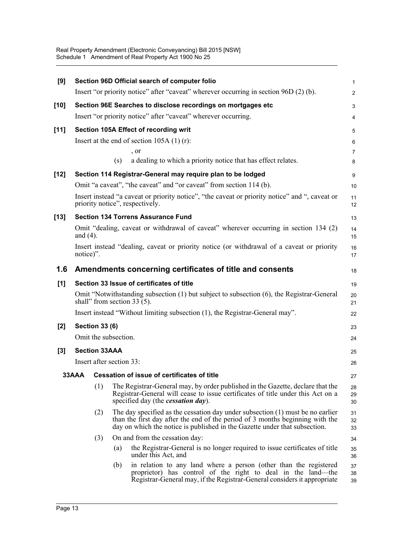| [9]    |                                                                              |                          |     | Section 96D Official search of computer folio                                                                                                                                                                                                   | $\mathbf{1}$        |  |  |  |
|--------|------------------------------------------------------------------------------|--------------------------|-----|-------------------------------------------------------------------------------------------------------------------------------------------------------------------------------------------------------------------------------------------------|---------------------|--|--|--|
|        |                                                                              |                          |     | Insert "or priority notice" after "caveat" wherever occurring in section 96D (2) (b).                                                                                                                                                           | $\overline{2}$      |  |  |  |
| $[10]$ |                                                                              |                          |     | Section 96E Searches to disclose recordings on mortgages etc                                                                                                                                                                                    | 3                   |  |  |  |
|        |                                                                              |                          |     | Insert "or priority notice" after "caveat" wherever occurring.                                                                                                                                                                                  | 4                   |  |  |  |
| $[11]$ |                                                                              |                          |     | Section 105A Effect of recording writ                                                                                                                                                                                                           | $\sqrt{5}$          |  |  |  |
|        |                                                                              |                          |     | Insert at the end of section $105A(1)(r)$ :                                                                                                                                                                                                     | 6                   |  |  |  |
|        |                                                                              |                          | (s) | , or<br>a dealing to which a priority notice that has effect relates.                                                                                                                                                                           | $\overline{7}$<br>8 |  |  |  |
|        |                                                                              |                          |     |                                                                                                                                                                                                                                                 |                     |  |  |  |
| $[12]$ |                                                                              |                          |     | Section 114 Registrar-General may require plan to be lodged<br>Omit "a caveat", "the caveat" and "or caveat" from section 114 (b).                                                                                                              | 9<br>10             |  |  |  |
|        |                                                                              |                          |     | Insert instead "a caveat or priority notice", "the caveat or priority notice" and ", caveat or<br>priority notice", respectively.                                                                                                               | 11<br>12            |  |  |  |
| $[13]$ |                                                                              |                          |     | <b>Section 134 Torrens Assurance Fund</b>                                                                                                                                                                                                       | 13                  |  |  |  |
|        | and $(4)$ .                                                                  |                          |     | Omit "dealing, caveat or withdrawal of caveat" wherever occurring in section 134 (2)                                                                                                                                                            | 14<br>15            |  |  |  |
|        | notice)".                                                                    |                          |     | Insert instead "dealing, caveat or priority notice (or withdrawal of a caveat or priority                                                                                                                                                       | 16<br>17            |  |  |  |
| 1.6    |                                                                              |                          |     | Amendments concerning certificates of title and consents                                                                                                                                                                                        | 18                  |  |  |  |
| [1]    |                                                                              |                          |     | Section 33 Issue of certificates of title                                                                                                                                                                                                       | 19                  |  |  |  |
|        |                                                                              |                          |     | Omit "Notwithstanding subsection (1) but subject to subsection (6), the Registrar-General<br>shall" from section 33 $(5)$ .                                                                                                                     | 20<br>21            |  |  |  |
|        | Insert instead "Without limiting subsection (1), the Registrar-General may". |                          |     |                                                                                                                                                                                                                                                 |                     |  |  |  |
| $[2]$  | <b>Section 33 (6)</b>                                                        |                          |     |                                                                                                                                                                                                                                                 |                     |  |  |  |
|        |                                                                              | Omit the subsection.     |     |                                                                                                                                                                                                                                                 | 24                  |  |  |  |
| $[3]$  |                                                                              | <b>Section 33AAA</b>     |     |                                                                                                                                                                                                                                                 | 25                  |  |  |  |
|        |                                                                              | Insert after section 33: |     |                                                                                                                                                                                                                                                 | 26                  |  |  |  |
|        | 33AAA                                                                        |                          |     | <b>Cessation of issue of certificates of title</b>                                                                                                                                                                                              | 27                  |  |  |  |
|        |                                                                              | (1)                      |     | The Registrar-General may, by order published in the Gazette, declare that the<br>Registrar-General will cease to issue certificates of title under this Act on a<br>specified day (the <i>cessation day</i> ).                                 | 28<br>29<br>30      |  |  |  |
|        |                                                                              | (2)                      |     | The day specified as the cessation day under subsection $(1)$ must be no earlier<br>than the first day after the end of the period of 3 months beginning with the<br>day on which the notice is published in the Gazette under that subsection. | 31<br>32<br>33      |  |  |  |
|        |                                                                              | (3)                      |     | On and from the cessation day:                                                                                                                                                                                                                  | 34                  |  |  |  |
|        |                                                                              |                          | (a) | the Registrar-General is no longer required to issue certificates of title<br>under this Act, and                                                                                                                                               | 35<br>36            |  |  |  |
|        |                                                                              |                          | (b) | in relation to any land where a person (other than the registered<br>proprietor) has control of the right to deal in the land—the<br>Registrar-General may, if the Registrar-General considers it appropriate                                   | 37<br>38<br>39      |  |  |  |
|        |                                                                              |                          |     |                                                                                                                                                                                                                                                 |                     |  |  |  |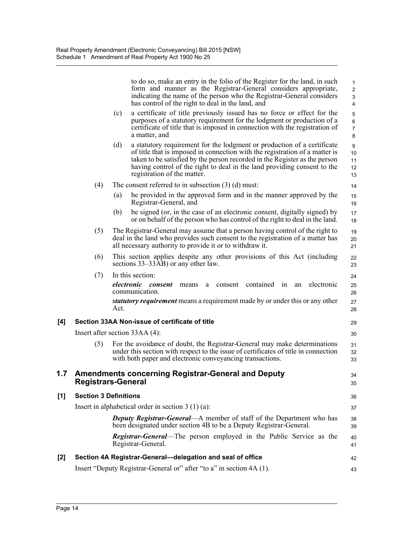|     |                              |      | to do so, make an entry in the folio of the Register for the land, in such<br>form and manner as the Registrar-General considers appropriate,<br>indicating the name of the person who the Registrar-General considers<br>has control of the right to deal in the land, and                                                                     | $\mathbf{1}$<br>$\overline{2}$<br>3<br>$\overline{4}$ |
|-----|------------------------------|------|-------------------------------------------------------------------------------------------------------------------------------------------------------------------------------------------------------------------------------------------------------------------------------------------------------------------------------------------------|-------------------------------------------------------|
|     |                              | (c)  | a certificate of title previously issued has no force or effect for the<br>purposes of a statutory requirement for the lodgment or production of a<br>certificate of title that is imposed in connection with the registration of<br>a matter, and                                                                                              | $\sqrt{5}$<br>$\,6\,$<br>$\overline{7}$<br>8          |
|     |                              | (d)  | a statutory requirement for the lodgment or production of a certificate<br>of title that is imposed in connection with the registration of a matter is<br>taken to be satisfied by the person recorded in the Register as the person<br>having control of the right to deal in the land providing consent to the<br>registration of the matter. | $\boldsymbol{9}$<br>10<br>11<br>12<br>13              |
|     | (4)                          |      | The consent referred to in subsection $(3)$ (d) must:                                                                                                                                                                                                                                                                                           | 14                                                    |
|     |                              | (a)  | be provided in the approved form and in the manner approved by the<br>Registrar-General, and                                                                                                                                                                                                                                                    | 15<br>16                                              |
|     |                              | (b)  | be signed (or, in the case of an electronic consent, digitally signed) by<br>or on behalf of the person who has control of the right to deal in the land.                                                                                                                                                                                       | 17<br>18                                              |
|     | (5)                          |      | The Registrar-General may assume that a person having control of the right to<br>deal in the land who provides such consent to the registration of a matter has<br>all necessary authority to provide it or to withdraw it.                                                                                                                     | 19<br>20<br>21                                        |
|     | (6)                          |      | This section applies despite any other provisions of this Act (including<br>sections 33–33AB) or any other law.                                                                                                                                                                                                                                 | 22<br>23                                              |
|     | (7)                          | Act. | In this section:<br>contained<br>electronic<br>electronic<br>in<br>consent<br>means<br>consent<br>an<br>a<br>communication.<br>statutory requirement means a requirement made by or under this or any other                                                                                                                                     | 24<br>25<br>26<br>27<br>28                            |
| [4] |                              |      | Section 33AA Non-issue of certificate of title                                                                                                                                                                                                                                                                                                  | 29                                                    |
|     |                              |      | Insert after section $33AA(4)$ :                                                                                                                                                                                                                                                                                                                | 30                                                    |
|     | (5)                          |      | For the avoidance of doubt, the Registrar-General may make determinations<br>under this section with respect to the issue of certificates of title in connection<br>with both paper and electronic conveyancing transactions.                                                                                                                   | 31<br>32<br>33                                        |
| 1.7 | <b>Registrars-General</b>    |      | <b>Amendments concerning Registrar-General and Deputy</b>                                                                                                                                                                                                                                                                                       | 34<br>35                                              |
| [1] | <b>Section 3 Definitions</b> |      |                                                                                                                                                                                                                                                                                                                                                 | 36                                                    |
|     |                              |      | Insert in alphabetical order in section $3(1)(a)$ :                                                                                                                                                                                                                                                                                             | 37                                                    |
|     |                              |      | <b>Deputy Registrar-General—A</b> member of staff of the Department who has<br>been designated under section 4B to be a Deputy Registrar-General.                                                                                                                                                                                               | 38<br>39                                              |
|     |                              |      | <b>Registrar-General</b> —The person employed in the Public Service as the<br>Registrar-General.                                                                                                                                                                                                                                                | 40<br>41                                              |
| [2] |                              |      | Section 4A Registrar-General-delegation and seal of office                                                                                                                                                                                                                                                                                      | 42                                                    |
|     |                              |      | Insert "Deputy Registrar-General or" after "to a" in section 4A (1).                                                                                                                                                                                                                                                                            | 43                                                    |

 $[1]$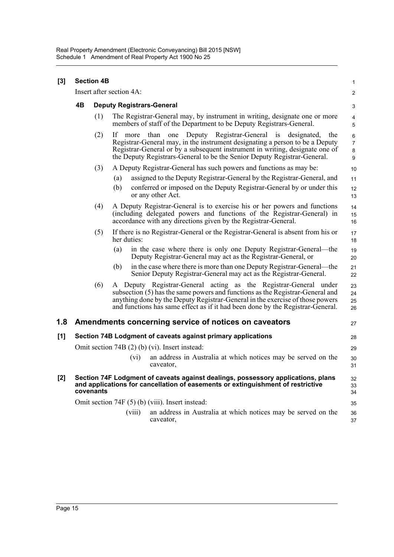| [3] | <b>Section 4B</b><br>Insert after section 4A:                                                                                                                                    |     |                                                                                                                                                                                                                                                                                                                      |                                                                     |                                                                                                                                                                                                                                                                                                                              |                                 |  |  |  |
|-----|----------------------------------------------------------------------------------------------------------------------------------------------------------------------------------|-----|----------------------------------------------------------------------------------------------------------------------------------------------------------------------------------------------------------------------------------------------------------------------------------------------------------------------|---------------------------------------------------------------------|------------------------------------------------------------------------------------------------------------------------------------------------------------------------------------------------------------------------------------------------------------------------------------------------------------------------------|---------------------------------|--|--|--|
|     |                                                                                                                                                                                  |     |                                                                                                                                                                                                                                                                                                                      |                                                                     |                                                                                                                                                                                                                                                                                                                              |                                 |  |  |  |
|     | 4B                                                                                                                                                                               |     | <b>Deputy Registrars-General</b>                                                                                                                                                                                                                                                                                     |                                                                     |                                                                                                                                                                                                                                                                                                                              |                                 |  |  |  |
|     |                                                                                                                                                                                  | (1) | The Registrar-General may, by instrument in writing, designate one or more<br>members of staff of the Department to be Deputy Registrars-General.                                                                                                                                                                    |                                                                     |                                                                                                                                                                                                                                                                                                                              |                                 |  |  |  |
|     |                                                                                                                                                                                  | (2) | If                                                                                                                                                                                                                                                                                                                   | more                                                                | Deputy Registrar-General<br>than<br>designated,<br>one<br>$\overline{1}S$<br>the<br>Registrar-General may, in the instrument designating a person to be a Deputy<br>Registrar-General or by a subsequent instrument in writing, designate one of<br>the Deputy Registrars-General to be the Senior Deputy Registrar-General. | 6<br>$\boldsymbol{7}$<br>8<br>9 |  |  |  |
|     |                                                                                                                                                                                  | (3) |                                                                                                                                                                                                                                                                                                                      | A Deputy Registrar-General has such powers and functions as may be: |                                                                                                                                                                                                                                                                                                                              |                                 |  |  |  |
|     |                                                                                                                                                                                  |     | (a)                                                                                                                                                                                                                                                                                                                  |                                                                     | assigned to the Deputy Registrar-General by the Registrar-General, and                                                                                                                                                                                                                                                       | 11                              |  |  |  |
|     |                                                                                                                                                                                  |     | (b)                                                                                                                                                                                                                                                                                                                  |                                                                     | conferred or imposed on the Deputy Registrar-General by or under this<br>or any other Act.                                                                                                                                                                                                                                   | 12<br>13                        |  |  |  |
|     |                                                                                                                                                                                  | (4) |                                                                                                                                                                                                                                                                                                                      |                                                                     | A Deputy Registrar-General is to exercise his or her powers and functions<br>(including delegated powers and functions of the Registrar-General) in<br>accordance with any directions given by the Registrar-General.                                                                                                        | 14<br>15<br>16                  |  |  |  |
|     |                                                                                                                                                                                  | (5) |                                                                                                                                                                                                                                                                                                                      | her duties:                                                         | If there is no Registrar-General or the Registrar-General is absent from his or                                                                                                                                                                                                                                              | 17<br>18                        |  |  |  |
|     |                                                                                                                                                                                  |     | (a)                                                                                                                                                                                                                                                                                                                  |                                                                     | in the case where there is only one Deputy Registrar-General—the<br>Deputy Registrar-General may act as the Registrar-General, or                                                                                                                                                                                            | 19<br>20                        |  |  |  |
|     |                                                                                                                                                                                  |     | (b)                                                                                                                                                                                                                                                                                                                  |                                                                     | in the case where there is more than one Deputy Registrar-General—the<br>Senior Deputy Registrar-General may act as the Registrar-General.                                                                                                                                                                                   | 21<br>22                        |  |  |  |
|     |                                                                                                                                                                                  | (6) | A Deputy Registrar-General acting as the Registrar-General under<br>subsection (5) has the same powers and functions as the Registrar-General and<br>anything done by the Deputy Registrar-General in the exercise of those powers<br>and functions has same effect as if it had been done by the Registrar-General. |                                                                     |                                                                                                                                                                                                                                                                                                                              |                                 |  |  |  |
| 1.8 |                                                                                                                                                                                  |     |                                                                                                                                                                                                                                                                                                                      |                                                                     | Amendments concerning service of notices on caveators                                                                                                                                                                                                                                                                        | 27                              |  |  |  |
| [1] | Section 74B Lodgment of caveats against primary applications<br>28                                                                                                               |     |                                                                                                                                                                                                                                                                                                                      |                                                                     |                                                                                                                                                                                                                                                                                                                              |                                 |  |  |  |
|     | Omit section 74B (2) (b) (vi). Insert instead:                                                                                                                                   |     |                                                                                                                                                                                                                                                                                                                      |                                                                     |                                                                                                                                                                                                                                                                                                                              | 29                              |  |  |  |
|     |                                                                                                                                                                                  |     |                                                                                                                                                                                                                                                                                                                      | (vi)                                                                | an address in Australia at which notices may be served on the<br>caveator,                                                                                                                                                                                                                                                   | 30<br>31                        |  |  |  |
| [2] | Section 74F Lodgment of caveats against dealings, possessory applications, plans<br>and applications for cancellation of easements or extinguishment of restrictive<br>covenants |     |                                                                                                                                                                                                                                                                                                                      |                                                                     |                                                                                                                                                                                                                                                                                                                              |                                 |  |  |  |
|     | Omit section 74F (5) (b) (viii). Insert instead:                                                                                                                                 |     |                                                                                                                                                                                                                                                                                                                      |                                                                     |                                                                                                                                                                                                                                                                                                                              |                                 |  |  |  |
|     |                                                                                                                                                                                  |     |                                                                                                                                                                                                                                                                                                                      | (viii)                                                              | an address in Australia at which notices may be served on the<br>caveator,                                                                                                                                                                                                                                                   | 36<br>37                        |  |  |  |